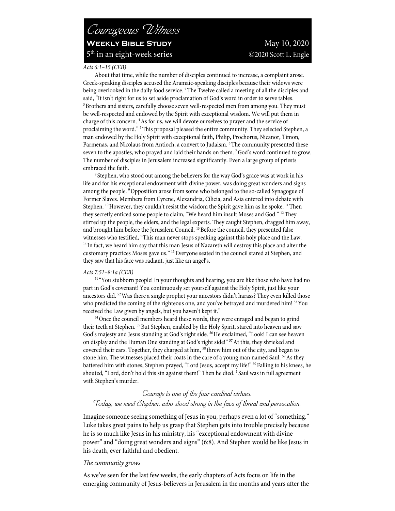# *Courageous Witness* **WEEKLY BIBLE STUDY** May 10, 2020 5<sup>th</sup> in an eight-week series **C**2020 Scott L. Engle

#### *Acts 6:1–15 (CEB)*

About that time, while the number of disciples continued to increase, a complaint arose. Greek-speaking disciples accused the Aramaic-speaking disciples because their widows were being overlooked in the daily food service. <sup>2</sup>The Twelve called a meeting of all the disciples and said, "It isn't right for us to set aside proclamation of God's word in order to serve tables. <sup>3</sup> Brothers and sisters, carefully choose seven well-respected men from among you. They must be well-respected and endowed by the Spirit with exceptional wisdom. We will put them in charge of this concern. 4As for us, we will devote ourselves to prayer and the service of proclaiming the word." 5This proposal pleased the entire community. They selected Stephen, a man endowed by the Holy Spirit with exceptional faith, Philip, Prochorus, Nicanor, Timon, Parmenas, and Nicolaus from Antioch, a convert to Judaism. <sup>6</sup>The community presented these seven to the apostles, who prayed and laid their hands on them. 7God's word continued to grow. The number of disciples in Jerusalem increased significantly. Even a large group of priests embraced the faith.<br><sup>8</sup> Stephen, who stood out among the believers for the way God's grace was at work in his

life and for his exceptional endowment with divine power, was doing great wonders and signs among the people. <sup>9</sup> Opposition arose from some who belonged to the so-called Synagogue of Former Slaves. Members from Cyrene, Alexandria, Cilicia, and Asia entered into debate with Stephen.  $^{10}$  However, they couldn't resist the wisdom the Spirit gave him as he spoke.  $^{11}$  Then they secretly enticed some people to claim, "We heard him insult Moses and God." <sup>12</sup> They stirred up the people, the elders, and the legal experts. They caught Stephen, dragged him away, and brought him before the Jerusalem Council. <sup>13</sup> Before the council, they presented false witnesses who testified, "This man never stops speaking against this holy place and the Law. <sup>14</sup> In fact, we heard him say that this man Jesus of Nazareth will destroy this place and alter the customary practices Moses gave us." <sup>15</sup> Everyone seated in the council stared at Stephen, and they saw that his face was radiant, just like an angel's.

#### *Acts 7:51–8:1a (CEB)*

<sup>51</sup> "You stubborn people! In your thoughts and hearing, you are like those who have had no part in God's covenant! You continuously set yourself against the Holy Spirit, just like your ancestors did.  $52$  Was there a single prophet your ancestors didn't harass? They even killed those who predicted the coming of the righteous one, and you've betrayed and murdered him! <sup>53</sup>You received the Law given by angels, but you haven't kept it."<br><sup>54</sup> Once the council members heard these words, they were enraged and began to grind

their teeth at Stephen. <sup>55</sup> But Stephen, enabled by the Holy Spirit, stared into heaven and saw God's majesty and Jesus standing at God's right side. <sup>56</sup>He exclaimed, "Look! I can see heaven on display and the Human One standing at God's right side!" <sup>57</sup> At this, they shrieked and covered their ears. Together, they charged at him, <sup>58</sup> threw him out of the city, and began to stone him. The witnesses placed their coats in the care of a young man named Saul. <sup>59</sup>As they battered him with stones, Stephen prayed, "Lord Jesus, accept my life!" <sup>60</sup> Falling to his knees, he shouted, "Lord, don't hold this sin against them!" Then he died. <sup>1</sup> Saul was in full agreement with Stephen's murder.

## *Courage is one of the four cardinal virtues. Today, we meet Stephen, who stood strong in the face of threat and persecution.*

Imagine someone seeing something of Jesus in you, perhaps even a lot of "something." Luke takes great pains to help us grasp that Stephen gets into trouble precisely because he is so much like Jesus in his ministry, his "exceptional endowment with divine power" and "doing great wonders and signs" (6:8). And Stephen would be like Jesus in his death, ever faithful and obedient.

#### *The community grows*

As we've seen for the last few weeks, the early chapters of Acts focus on life in the emerging community of Jesus-believers in Jerusalem in the months and years after the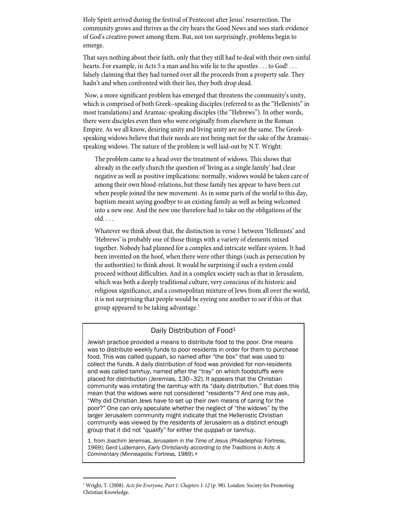Holy Spirit arrived during the festival of Pentecost after Jesus' resurrection. The community grows and thrives as the city hears the Good News and sees stark evidence of God's creative power among them. But, not too surprisingly, problems begin to emerge.

That says nothing about their faith, only that they still had to deal with their own sinful hearts. For example, in Acts 5 a man and his wife lie to the apostles . . . to God! . . . falsely claiming that they had turned over all the proceeds from a property sale. They hadn't and when confronted with their lies, they both drop dead.

Now, a more significant problem has emerged that threatens the community's unity, which is comprised of both Greek–speaking disciples (referred to as the "Hellenists" in most translations) and Aramaic-speaking disciples (the "Hebrews"). In other words, there were disciples even then who were originally from elsewhere in the Roman Empire. As we all know, desiring unity and living unity are not the same. The Greekspeaking widows believe that their needs are not being met for the sake of the Aramaicspeaking widows. The nature of the problem is well laid-out by N.T. Wright:

The problem came to a head over the treatment of widows. This shows that already in the early church the question of 'living as a single family' had clear negative as well as positive implications: normally, widows would be taken care of among their own blood-relations, but those family ties appear to have been cut when people joined the new movement. As in some parts of the world to this day, baptism meant saying goodbye to an existing family as well as being welcomed into a new one. And the new one therefore had to take on the obligations of the  $old. \ldots$ 

Whatever we think about that, the distinction in verse 1 between 'Hellenists' and 'Hebrews' is probably one of those things with a variety of elements mixed together. Nobody had planned for a complex and intricate welfare system. It had been invented on the hoof, when there were other things (such as persecution by the authorities) to think about. It would be surprising if such a system could proceed without difficulties. And in a complex society such as that in Jerusalem, which was both a deeply traditional culture, very conscious of its historic and religious significance, and a cosmopolitan mixture of Jews from all over the world, it is not surprising that people would be eyeing one another to see if this or that group appeared to be taking advantage.<sup>1</sup>

### Daily Distribution of Food<sup>1</sup>

Jewish practice provided a means to distribute food to the poor. One means was to distribute weekly funds to poor residents in order for them to purchase food. This was called *quppah*, so named after "the box" that was used to collect the funds. A daily distribution of food was provided for non-residents and was called *tamhuy*, named after the "tray" on which foodstuffs were placed for distribution (Jeremias, 130–32). It appears that the Christian community was imitating the *tamhuy* with its "daily distribution." But does this mean that the widows were not considered "residents"? And one may ask, "Why did Christian Jews have to set up their own means of caring for the poor?" One can only speculate whether the neglect of "the widows" by the larger Jerusalem community might indicate that the Hellenistic Christian community was viewed by the residents of Jerusalem as a distinct enough group that it did not "qualify" for either the *quppah* or *tamhuy*.

1. from Joachim Jeremias, *Jerusalem in the Time of Jesus* (Philadelphia: Fortress, 1969); Gerd Lüdemann, *Early Christianity according to the Traditions* in *Acts: A Commentary* (Minneapolis: Fortress, 1989).+

<sup>1</sup> Wright, T. (2008). *Acts for Everyone, Part 1: Chapters 1-12* (p. 98). London: Society for Promoting Christian Knowledge.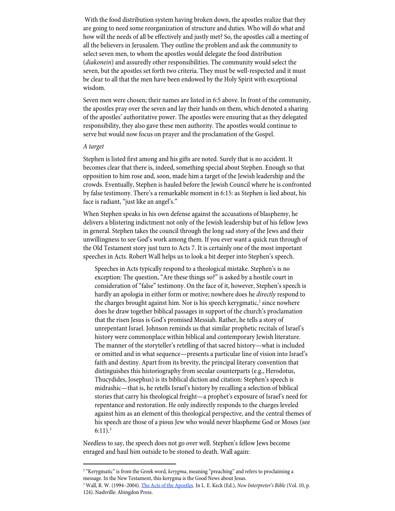With the food distribution system having broken down, the apostles realize that they are going to need some reorganization of structure and duties. Who will do what and how will the needs of all be effectively and justly met? So, the apostles call a meeting of all the believers in Jerusalem. They outline the problem and ask the community to select seven men, to whom the apostles would delegate the food distribution (*diakonein*) and assuredly other responsibilities. The community would select the seven, but the apostles set forth two criteria. They must be well-respected and it must be clear to all that the men have been endowed by the Holy Spirit with exceptional wisdom.

Seven men were chosen; their names are listed in 6:5 above. In front of the community, the apostles pray over the seven and lay their hands on them, which denoted a sharing of the apostles' authoritative power. The apostles were ensuring that as they delegated responsibility, they also gave these men authority. The apostles would continue to serve but would now focus on prayer and the proclamation of the Gospel.

#### *A target*

Stephen is listed first among and his gifts are noted. Surely that is no accident. It becomes clear that there is, indeed, something special about Stephen. Enough so that opposition to him rose and, soon, made him a target of the Jewish leadership and the crowds. Eventually, Stephen is hauled before the Jewish Council where he is confronted by false testimony. There's a remarkable moment in 6:15: as Stephen is lied about, his face is radiant, "just like an angel's."

When Stephen speaks in his own defense against the accusations of blasphemy, he delivers a blistering indictment not only of the Jewish leadership but of his fellow Jews in general. Stephen takes the council through the long sad story of the Jews and their unwillingness to see God's work among them. If you ever want a quick run through of the Old Testament story just turn to Acts 7. It is certainly one of the most important speeches in Acts. Robert Wall helps us to look a bit deeper into Stephen's speech.

Speeches in Acts typically respond to a theological mistake. Stephen's is no exception: The question, "Are these things so?" is asked by a hostile court in consideration of "false" testimony. On the face of it, however, Stephen's speech is hardly an apologia in either form or motive; nowhere does he *directly* respond to the charges brought against him. Nor is his speech kerygmatic, $2$  since nowhere does he draw together biblical passages in support of the church's proclamation that the risen Jesus is God's promised Messiah. Rather, he tells a story of unrepentant Israel. Johnson reminds us that similar prophetic recitals of Israel's history were commonplace within biblical and contemporary Jewish literature. The manner of the storyteller's retelling of that sacred history—what is included or omitted and in what sequence—presents a particular line of vision into Israel's faith and destiny. Apart from its brevity, the principal literary convention that distinguishes this historiography from secular counterparts (e.g., Herodotus, Thucydides, Josephus) is its biblical diction and citation: Stephen's speech is midrashic—that is, he retells Israel's history by recalling a selection of biblical stories that carry his theological freight—a prophet's exposure of Israel's need for repentance and restoration. He only indirectly responds to the charges leveled against him as an element of this theological perspective, and the central themes of his speech are those of a pious Jew who would never blaspheme God or Moses (see  $6:11$ ).<sup>3</sup>

Needless to say, the speech does not go over well. Stephen's fellow Jews become enraged and haul him outside to be stoned to death. Wall again:

<sup>&</sup>lt;sup>2</sup> "Kerygmatic" is from the Greek word, *kerygma*, meaning "preaching" and refers to proclaiming a message. In the New Testament, this kerygma is the Good News about Jesus.

<sup>3</sup> Wall, R. W. (1994–2004). The Acts of the Apostles. In L. E. Keck (Ed.), *New Interpreter's Bible* (Vol. 10, p. 124). Nashville: Abingdon Press.